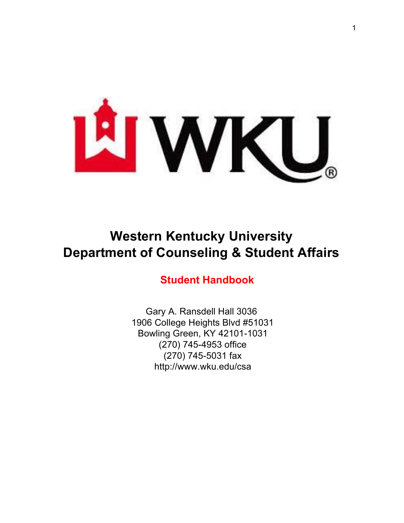

# **Western Kentucky University Department of Counseling & Student Affairs**

**Student Handbook**

Gary A. Ransdell Hall 3036 1906 College Heights Blvd #51031 Bowling Green, KY 42101-1031 (270) 745-4953 office (270) 745-5031 fax http://www.wku.edu/csa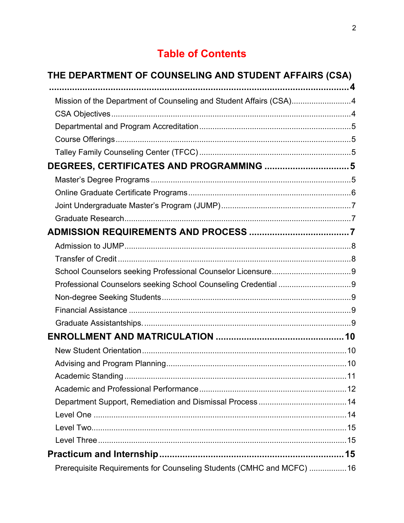# **Table of Contents**

| THE DEPARTMENT OF COUNSELING AND STUDENT AFFAIRS (CSA)               |  |
|----------------------------------------------------------------------|--|
| Mission of the Department of Counseling and Student Affairs (CSA)4   |  |
|                                                                      |  |
|                                                                      |  |
|                                                                      |  |
|                                                                      |  |
| DEGREES, CERTIFICATES AND PROGRAMMING  5                             |  |
|                                                                      |  |
|                                                                      |  |
|                                                                      |  |
|                                                                      |  |
|                                                                      |  |
|                                                                      |  |
|                                                                      |  |
|                                                                      |  |
|                                                                      |  |
|                                                                      |  |
|                                                                      |  |
|                                                                      |  |
|                                                                      |  |
|                                                                      |  |
|                                                                      |  |
|                                                                      |  |
|                                                                      |  |
|                                                                      |  |
|                                                                      |  |
|                                                                      |  |
|                                                                      |  |
|                                                                      |  |
| Prerequisite Requirements for Counseling Students (CMHC and MCFC) 16 |  |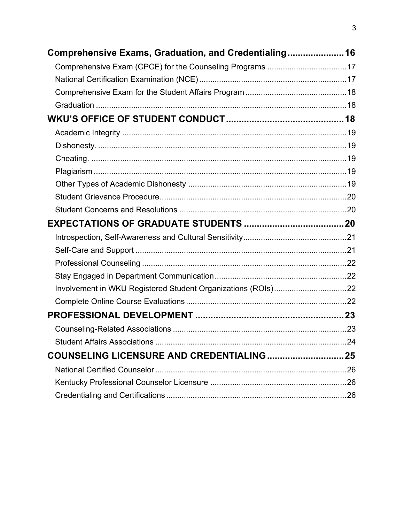| Comprehensive Exams, Graduation, and Credentialing 16 |  |
|-------------------------------------------------------|--|
|                                                       |  |
|                                                       |  |
|                                                       |  |
|                                                       |  |
|                                                       |  |
|                                                       |  |
|                                                       |  |
|                                                       |  |
|                                                       |  |
|                                                       |  |
|                                                       |  |
|                                                       |  |
|                                                       |  |
|                                                       |  |
|                                                       |  |
|                                                       |  |
|                                                       |  |
|                                                       |  |
|                                                       |  |
|                                                       |  |
|                                                       |  |
|                                                       |  |
| <b>COUNSELING LICENSURE AND CREDENTIALING  25</b>     |  |
|                                                       |  |
|                                                       |  |
|                                                       |  |
|                                                       |  |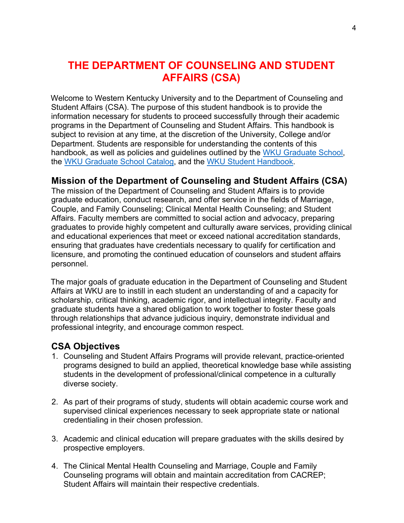## **THE DEPARTMENT OF COUNSELING AND STUDENT AFFAIRS (CSA)**

Welcome to Western Kentucky University and to the Department of Counseling and Student Affairs (CSA). The purpose of this student handbook is to provide the information necessary for students to proceed successfully through their academic programs in the Department of Counseling and Student Affairs. This handbook is subject to revision at any time, at the discretion of the University, College and/or Department. Students are responsible for understanding the contents of this handbook, as well as policies and guidelines outlined by the WKU Graduate School, the WKU Graduate School Catalog, and the WKU Student Handbook.

#### **Mission of the Department of Counseling and Student Affairs (CSA)**

The mission of the Department of Counseling and Student Affairs is to provide graduate education, conduct research, and offer service in the fields of Marriage, Couple, and Family Counseling; Clinical Mental Health Counseling; and Student Affairs. Faculty members are committed to social action and advocacy, preparing graduates to provide highly competent and culturally aware services, providing clinical and educational experiences that meet or exceed national accreditation standards, ensuring that graduates have credentials necessary to qualify for certification and licensure, and promoting the continued education of counselors and student affairs personnel.

The major goals of graduate education in the Department of Counseling and Student Affairs at WKU are to instill in each student an understanding of and a capacity for scholarship, critical thinking, academic rigor, and intellectual integrity. Faculty and graduate students have a shared obligation to work together to foster these goals through relationships that advance judicious inquiry, demonstrate individual and professional integrity, and encourage common respect.

#### **CSA Objectives**

- 1. Counseling and Student Affairs Programs will provide relevant, practice-oriented programs designed to build an applied, theoretical knowledge base while assisting students in the development of professional/clinical competence in a culturally diverse society.
- 2. As part of their programs of study, students will obtain academic course work and supervised clinical experiences necessary to seek appropriate state or national credentialing in their chosen profession.
- 3. Academic and clinical education will prepare graduates with the skills desired by prospective employers.
- 4. The Clinical Mental Health Counseling and Marriage, Couple and Family Counseling programs will obtain and maintain accreditation from CACREP; Student Affairs will maintain their respective credentials.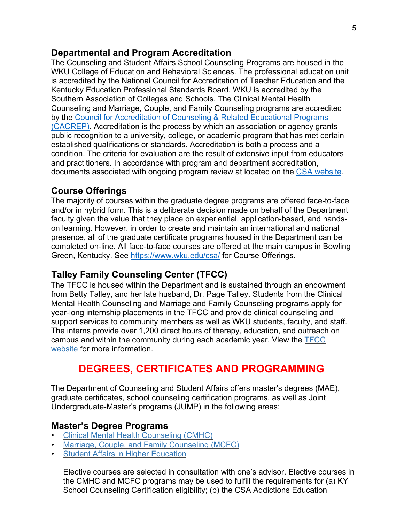#### **Departmental and Program Accreditation**

The Counseling and Student Affairs School Counseling Programs are housed in the WKU College of Education and Behavioral Sciences. The professional education unit is accredited by the National Council for Accreditation of Teacher Education and the Kentucky Education Professional Standards Board. WKU is accredited by the Southern Association of Colleges and Schools. The Clinical Mental Health Counseling and Marriage, Couple, and Family Counseling programs are accredited by the Council for Accreditation of Counseling & Related Educational Programs (CACREP). Accreditation is the process by which an association or agency grants public recognition to a university, college, or academic program that has met certain established qualifications or standards. Accreditation is both a process and a condition. The criteria for evaluation are the result of extensive input from educators and practitioners. In accordance with program and department accreditation, documents associated with ongoing program review at located on the CSA website.

#### **Course Offerings**

The majority of courses within the graduate degree programs are offered face-to-face and/or in hybrid form. This is a deliberate decision made on behalf of the Department faculty given the value that they place on experiential, application-based, and handson learning. However, in order to create and maintain an international and national presence, all of the graduate certificate programs housed in the Department can be completed on-line. All face-to-face courses are offered at the main campus in Bowling Green, Kentucky. See https://www.wku.edu/csa/ for Course Offerings.

## **Talley Family Counseling Center (TFCC)**

The TFCC is housed within the Department and is sustained through an endowment from Betty Talley, and her late husband, Dr. Page Talley. Students from the Clinical Mental Health Counseling and Marriage and Family Counseling programs apply for year-long internship placements in the TFCC and provide clinical counseling and support services to community members as well as WKU students, faculty, and staff. The interns provide over 1,200 direct hours of therapy, education, and outreach on campus and within the community during each academic year. View the TFCC website for more information.

## **DEGREES, CERTIFICATES AND PROGRAMMING**

The Department of Counseling and Student Affairs offers master's degrees (MAE), graduate certificates, school counseling certification programs, as well as Joint Undergraduate-Master's programs (JUMP) in the following areas:

#### **Master's Degree Programs**

- Clinical Mental Health Counseling (CMHC)
- Marriage, Couple, and Family Counseling (MCFC)
- Student Affairs in Higher Education

Elective courses are selected in consultation with one's advisor. Elective courses in the CMHC and MCFC programs may be used to fulfill the requirements for (a) KY School Counseling Certification eligibility; (b) the CSA Addictions Education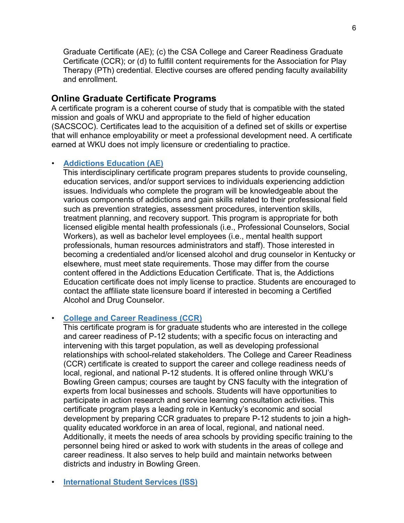Graduate Certificate (AE); (c) the CSA College and Career Readiness Graduate Certificate (CCR); or (d) to fulfill content requirements for the Association for Play Therapy (PTh) credential. Elective courses are offered pending faculty availability and enrollment.

#### **Online Graduate Certificate Programs**

A certificate program is a coherent course of study that is compatible with the stated mission and goals of WKU and appropriate to the field of higher education (SACSCOC). Certificates lead to the acquisition of a defined set of skills or expertise that will enhance employability or meet a professional development need. A certificate earned at WKU does not imply licensure or credentialing to practice.

#### • **Addictions Education (AE)**

This interdisciplinary certificate program prepares students to provide counseling, education services, and/or support services to individuals experiencing addiction issues. Individuals who complete the program will be knowledgeable about the various components of addictions and gain skills related to their professional field such as prevention strategies, assessment procedures, intervention skills, treatment planning, and recovery support. This program is appropriate for both licensed eligible mental health professionals (i.e., Professional Counselors, Social Workers), as well as bachelor level employees (i.e., mental health support professionals, human resources administrators and staff). Those interested in becoming a credentialed and/or licensed alcohol and drug counselor in Kentucky or elsewhere, must meet state requirements. Those may differ from the course content offered in the Addictions Education Certificate. That is, the Addictions Education certificate does not imply license to practice. Students are encouraged to contact the affiliate state licensure board if interested in becoming a Certified Alcohol and Drug Counselor.

#### • **College and Career Readiness (CCR)**

This certificate program is for graduate students who are interested in the college and career readiness of P-12 students; with a specific focus on interacting and intervening with this target population, as well as developing professional relationships with school-related stakeholders. The College and Career Readiness (CCR) certificate is created to support the career and college readiness needs of local, regional, and national P-12 students. It is offered online through WKU's Bowling Green campus; courses are taught by CNS faculty with the integration of experts from local businesses and schools. Students will have opportunities to participate in action research and service learning consultation activities. This certificate program plays a leading role in Kentucky's economic and social development by preparing CCR graduates to prepare P-12 students to join a highquality educated workforce in an area of local, regional, and national need. Additionally, it meets the needs of area schools by providing specific training to the personnel being hired or asked to work with students in the areas of college and career readiness. It also serves to help build and maintain networks between districts and industry in Bowling Green.

**International Student Services (ISS)**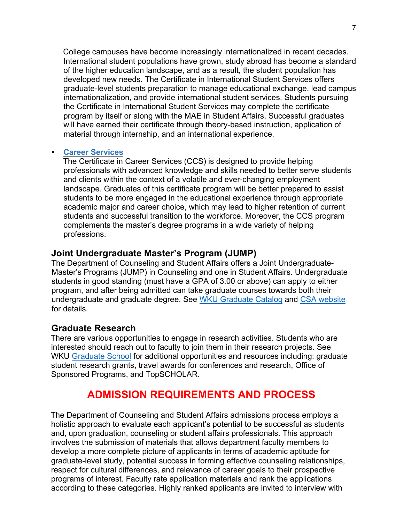College campuses have become increasingly internationalized in recent decades. International student populations have grown, study abroad has become a standard of the higher education landscape, and as a result, the student population has developed new needs. The Certificate in International Student Services offers graduate-level students preparation to manage educational exchange, lead campus internationalization, and provide international student services. Students pursuing the Certificate in International Student Services may complete the certificate program by itself or along with the MAE in Student Affairs. Successful graduates will have earned their certificate through theory-based instruction, application of material through internship, and an international experience.

#### • **Career Services**

The Certificate in Career Services (CCS) is designed to provide helping professionals with advanced knowledge and skills needed to better serve students and clients within the context of a volatile and ever-changing employment landscape. Graduates of this certificate program will be better prepared to assist students to be more engaged in the educational experience through appropriate academic major and career choice, which may lead to higher retention of current students and successful transition to the workforce. Moreover, the CCS program complements the master's degree programs in a wide variety of helping professions.

#### **Joint Undergraduate Master's Program (JUMP)**

The Department of Counseling and Student Affairs offers a Joint Undergraduate-Master's Programs (JUMP) in Counseling and one in Student Affairs. Undergraduate students in good standing (must have a GPA of 3.00 or above) can apply to either program, and after being admitted can take graduate courses towards both their undergraduate and graduate degree. See WKU Graduate Catalog and CSA website for details.

#### **Graduate Research**

There are various opportunities to engage in research activities. Students who are interested should reach out to faculty to join them in their research projects. See WKU Graduate School for additional opportunities and resources including: graduate student research grants, travel awards for conferences and research, Office of Sponsored Programs, and TopSCHOLAR.

## **ADMISSION REQUIREMENTS AND PROCESS**

The Department of Counseling and Student Affairs admissions process employs a holistic approach to evaluate each applicant's potential to be successful as students and, upon graduation, counseling or student affairs professionals. This approach involves the submission of materials that allows department faculty members to develop a more complete picture of applicants in terms of academic aptitude for graduate-level study, potential success in forming effective counseling relationships, respect for cultural differences, and relevance of career goals to their prospective programs of interest. Faculty rate application materials and rank the applications according to these categories. Highly ranked applicants are invited to interview with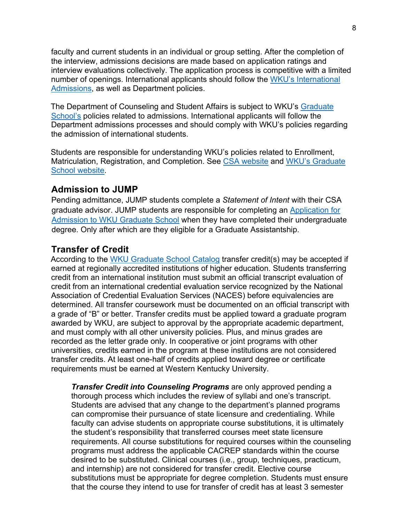faculty and current students in an individual or group setting. After the completion of the interview, admissions decisions are made based on application ratings and interview evaluations collectively. The application process is competitive with a limited number of openings. International applicants should follow the WKU's International Admissions, as well as Department policies.

The Department of Counseling and Student Affairs is subject to WKU's Graduate School's policies related to admissions. International applicants will follow the Department admissions processes and should comply with WKU's policies regarding the admission of international students.

Students are responsible for understanding WKU's policies related to Enrollment, Matriculation, Registration, and Completion. See CSA website and WKU's Graduate School website.

#### **Admission to JUMP**

Pending admittance, JUMP students complete a *Statement of Intent* with their CSA graduate advisor. JUMP students are responsible for completing an Application for Admission to WKU Graduate School when they have completed their undergraduate degree. Only after which are they eligible for a Graduate Assistantship.

## **Transfer of Credit**

According to the WKU Graduate School Catalog transfer credit(s) may be accepted if earned at regionally accredited institutions of higher education. Students transferring credit from an international institution must submit an official transcript evaluation of credit from an international credential evaluation service recognized by the National Association of Credential Evaluation Services (NACES) before equivalencies are determined. All transfer coursework must be documented on an official transcript with a grade of "B" or better. Transfer credits must be applied toward a graduate program awarded by WKU, are subject to approval by the appropriate academic department, and must comply with all other university policies. Plus, and minus grades are recorded as the letter grade only. In cooperative or joint programs with other universities, credits earned in the program at these institutions are not considered transfer credits. At least one-half of credits applied toward degree or certificate requirements must be earned at Western Kentucky University.

*Transfer Credit into Counseling Programs* are only approved pending a thorough process which includes the review of syllabi and one's transcript. Students are advised that any change to the department's planned programs can compromise their pursuance of state licensure and credentialing. While faculty can advise students on appropriate course substitutions, it is ultimately the student's responsibility that transferred courses meet state licensure requirements. All course substitutions for required courses within the counseling programs must address the applicable CACREP standards within the course desired to be substituted. Clinical courses (i.e., group, techniques, practicum, and internship) are not considered for transfer credit. Elective course substitutions must be appropriate for degree completion. Students must ensure that the course they intend to use for transfer of credit has at least 3 semester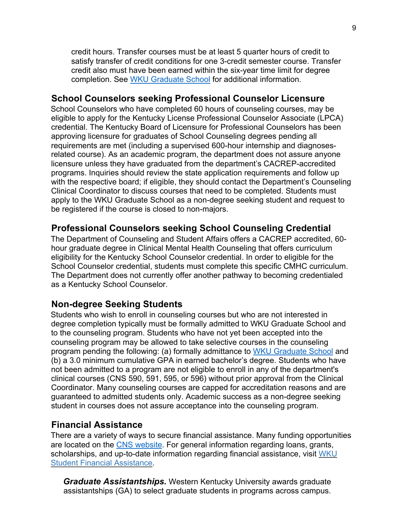credit hours. Transfer courses must be at least 5 quarter hours of credit to satisfy transfer of credit conditions for one 3-credit semester course. Transfer credit also must have been earned within the six-year time limit for degree completion. See WKU Graduate School for additional information.

### **School Counselors seeking Professional Counselor Licensure**

School Counselors who have completed 60 hours of counseling courses, may be eligible to apply for the Kentucky License Professional Counselor Associate (LPCA) credential. The Kentucky Board of Licensure for Professional Counselors has been approving licensure for graduates of School Counseling degrees pending all requirements are met (including a supervised 600-hour internship and diagnosesrelated course). As an academic program, the department does not assure anyone licensure unless they have graduated from the department's CACREP-accredited programs. Inquiries should review the state application requirements and follow up with the respective board; if eligible, they should contact the Department's Counseling Clinical Coordinator to discuss courses that need to be completed. Students must apply to the WKU Graduate School as a non-degree seeking student and request to be registered if the course is closed to non-majors.

## **Professional Counselors seeking School Counseling Credential**

The Department of Counseling and Student Affairs offers a CACREP accredited, 60 hour graduate degree in Clinical Mental Health Counseling that offers curriculum eligibility for the Kentucky School Counselor credential. In order to eligible for the School Counselor credential, students must complete this specific CMHC curriculum. The Department does not currently offer another pathway to becoming credentialed as a Kentucky School Counselor.

## **Non-degree Seeking Students**

Students who wish to enroll in counseling courses but who are not interested in degree completion typically must be formally admitted to WKU Graduate School and to the counseling program. Students who have not yet been accepted into the counseling program may be allowed to take selective courses in the counseling program pending the following: (a) formally admittance to WKU Graduate School and (b) a 3.0 minimum cumulative GPA in earned bachelor's degree. Students who have not been admitted to a program are not eligible to enroll in any of the department's clinical courses (CNS 590, 591, 595, or 596) without prior approval from the Clinical Coordinator. Many counseling courses are capped for accreditation reasons and are guaranteed to admitted students only. Academic success as a non-degree seeking student in courses does not assure acceptance into the counseling program.

## **Financial Assistance**

There are a variety of ways to secure financial assistance. Many funding opportunities are located on the CNS website. For general information regarding loans, grants, scholarships, and up-to-date information regarding financial assistance, visit WKU Student Financial Assistance.

*Graduate Assistantships.* Western Kentucky University awards graduate assistantships (GA) to select graduate students in programs across campus.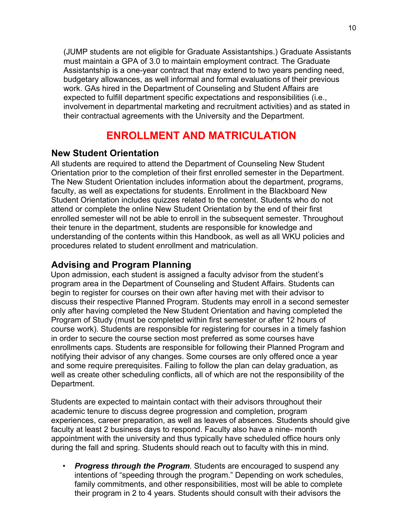(JUMP students are not eligible for Graduate Assistantships.) Graduate Assistants must maintain a GPA of 3.0 to maintain employment contract. The Graduate Assistantship is a one-year contract that may extend to two years pending need, budgetary allowances, as well informal and formal evaluations of their previous work. GAs hired in the Department of Counseling and Student Affairs are expected to fulfill department specific expectations and responsibilities (i.e., involvement in departmental marketing and recruitment activities) and as stated in their contractual agreements with the University and the Department.

## **ENROLLMENT AND MATRICULATION**

## **New Student Orientation**

All students are required to attend the Department of Counseling New Student Orientation prior to the completion of their first enrolled semester in the Department. The New Student Orientation includes information about the department, programs, faculty, as well as expectations for students. Enrollment in the Blackboard New Student Orientation includes quizzes related to the content. Students who do not attend or complete the online New Student Orientation by the end of their first enrolled semester will not be able to enroll in the subsequent semester. Throughout their tenure in the department, students are responsible for knowledge and understanding of the contents within this Handbook, as well as all WKU policies and procedures related to student enrollment and matriculation.

## **Advising and Program Planning**

Upon admission, each student is assigned a faculty advisor from the student's program area in the Department of Counseling and Student Affairs. Students can begin to register for courses on their own after having met with their advisor to discuss their respective Planned Program. Students may enroll in a second semester only after having completed the New Student Orientation and having completed the Program of Study (must be completed within first semester or after 12 hours of course work). Students are responsible for registering for courses in a timely fashion in order to secure the course section most preferred as some courses have enrollments caps. Students are responsible for following their Planned Program and notifying their advisor of any changes. Some courses are only offered once a year and some require prerequisites. Failing to follow the plan can delay graduation, as well as create other scheduling conflicts, all of which are not the responsibility of the Department.

Students are expected to maintain contact with their advisors throughout their academic tenure to discuss degree progression and completion, program experiences, career preparation, as well as leaves of absences. Students should give faculty at least 2 business days to respond. Faculty also have a nine- month appointment with the university and thus typically have scheduled office hours only during the fall and spring. Students should reach out to faculty with this in mind.

• *Progress through the Program.* Students are encouraged to suspend any intentions of "speeding through the program." Depending on work schedules, family commitments, and other responsibilities, most will be able to complete their program in 2 to 4 years. Students should consult with their advisors the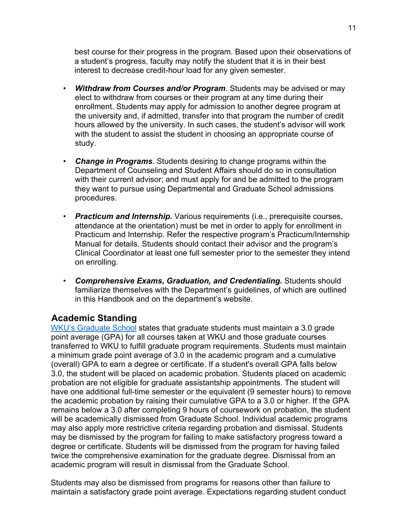best course for their progress in the program. Based upon their observations of a student's progress, faculty may notify the student that it is in their best interest to decrease credit-hour load for any given semester.

- *Withdraw from Courses and/or Program.* Students may be advised or may elect to withdraw from courses or their program at any time during their enrollment. Students may apply for admission to another degree program at the university and, if admitted, transfer into that program the number of credit hours allowed by the university. In such cases, the student's advisor will work with the student to assist the student in choosing an appropriate course of study.
- *Change in Programs.* Students desiring to change programs within the Department of Counseling and Student Affairs should do so in consultation with their current advisor; and must apply for and be admitted to the program they want to pursue using Departmental and Graduate School admissions procedures.
- *Practicum and Internship.* Various requirements (i.e., prerequisite courses, attendance at the orientation) must be met in order to apply for enrollment in Practicum and Internship. Refer the respective program's Practicum/Internship Manual for details. Students should contact their advisor and the program's Clinical Coordinator at least one full semester prior to the semester they intend on enrolling.
- *Comprehensive Exams, Graduation, and Credentialing.* Students should familiarize themselves with the Department's guidelines, of which are outlined in this Handbook and on the department's website.

## **Academic Standing**

WKU's Graduate School states that graduate students must maintain a 3.0 grade point average (GPA) for all courses taken at WKU and those graduate courses transferred to WKU to fulfill graduate program requirements. Students must maintain a minimum grade point average of 3.0 in the academic program and a cumulative (overall) GPA to earn a degree or certificate. If a student's overall GPA falls below 3.0, the student will be placed on academic probation. Students placed on academic probation are not eligible for graduate assistantship appointments. The student will have one additional full-time semester or the equivalent (9 semester hours) to remove the academic probation by raising their cumulative GPA to a 3.0 or higher. If the GPA remains below a 3.0 after completing 9 hours of coursework on probation, the student will be academically dismissed from Graduate School. Individual academic programs may also apply more restrictive criteria regarding probation and dismissal. Students may be dismissed by the program for failing to make satisfactory progress toward a degree or certificate. Students will be dismissed from the program for having failed twice the comprehensive examination for the graduate degree. Dismissal from an academic program will result in dismissal from the Graduate School.

Students may also be dismissed from programs for reasons other than failure to maintain a satisfactory grade point average. Expectations regarding student conduct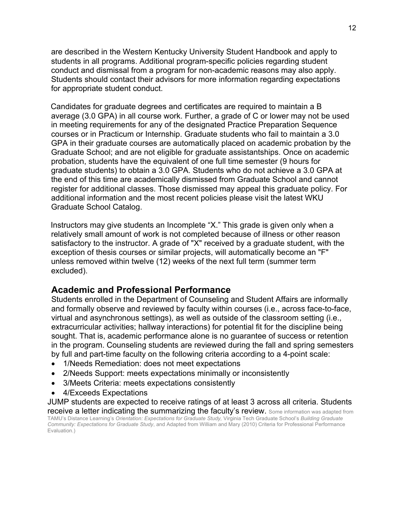are described in the Western Kentucky University Student Handbook and apply to students in all programs. Additional program-specific policies regarding student conduct and dismissal from a program for non-academic reasons may also apply. Students should contact their advisors for more information regarding expectations for appropriate student conduct.

Candidates for graduate degrees and certificates are required to maintain a B average (3.0 GPA) in all course work. Further, a grade of C or lower may not be used in meeting requirements for any of the designated Practice Preparation Sequence courses or in Practicum or Internship. Graduate students who fail to maintain a 3.0 GPA in their graduate courses are automatically placed on academic probation by the Graduate School; and are not eligible for graduate assistantships. Once on academic probation, students have the equivalent of one full time semester (9 hours for graduate students) to obtain a 3.0 GPA. Students who do not achieve a 3.0 GPA at the end of this time are academically dismissed from Graduate School and cannot register for additional classes. Those dismissed may appeal this graduate policy. For additional information and the most recent policies please visit the latest WKU Graduate School Catalog.

Instructors may give students an Incomplete "X." This grade is given only when a relatively small amount of work is not completed because of illness or other reason satisfactory to the instructor. A grade of "X" received by a graduate student, with the exception of thesis courses or similar projects, will automatically become an "F" unless removed within twelve (12) weeks of the next full term (summer term excluded).

## **Academic and Professional Performance**

Students enrolled in the Department of Counseling and Student Affairs are informally and formally observe and reviewed by faculty within courses (i.e., across face-to-face, virtual and asynchronous settings), as well as outside of the classroom setting (i.e., extracurricular activities; hallway interactions) for potential fit for the discipline being sought. That is, academic performance alone is no guarantee of success or retention in the program. Counseling students are reviewed during the fall and spring semesters by full and part-time faculty on the following criteria according to a 4-point scale:

- 1/Needs Remediation: does not meet expectations
- 2/Needs Support: meets expectations minimally or inconsistently
- 3/Meets Criteria: meets expectations consistently
- 4/Exceeds Expectations

JUMP students are expected to receive ratings of at least 3 across all criteria. Students receive a letter indicating the summarizing the faculty's review. Some information was adapted from TAMU's Distance Learning's *Orientation: Expectations for Graduate Study,* Virginia Tech Graduate School's *Building Graduate Community: Expectations for Graduate Study*, and Adapted from William and Mary (2010) Criteria for Professional Performance Evaluation.)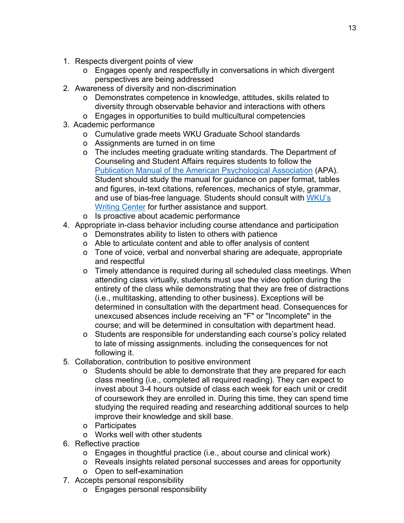- 1. Respects divergent points of view
	- o Engages openly and respectfully in conversations in which divergent perspectives are being addressed
- 2. Awareness of diversity and non-discrimination
	- o Demonstrates competence in knowledge, attitudes, skills related to diversity through observable behavior and interactions with others
	- o Engages in opportunities to build multicultural competencies
- 3. Academic performance
	- o Cumulative grade meets WKU Graduate School standards
	- o Assignments are turned in on time
	- o The includes meeting graduate writing standards. The Department of Counseling and Student Affairs requires students to follow the Publication Manual of the American Psychological Association (APA). Student should study the manual for guidance on paper format, tables and figures, in-text citations, references, mechanics of style, grammar, and use of bias-free language. Students should consult with WKU's Writing Center for further assistance and support.
	- o Is proactive about academic performance
- 4. Appropriate in-class behavior including course attendance and participation
	- o Demonstrates ability to listen to others with patience
		- o Able to articulate content and able to offer analysis of content
		- o Tone of voice, verbal and nonverbal sharing are adequate, appropriate and respectful
	- o Timely attendance is required during all scheduled class meetings. When attending class virtually, students must use the video option during the entirety of the class while demonstrating that they are free of distractions (i.e., multitasking, attending to other business). Exceptions will be determined in consultation with the department head. Consequences for unexcused absences include receiving an "F" or "Incomplete" in the course; and will be determined in consultation with department head.
	- o Students are responsible for understanding each course's policy related to late of missing assignments. including the consequences for not following it.
- 5. Collaboration, contribution to positive environment
	- o Students should be able to demonstrate that they are prepared for each class meeting (i.e., completed all required reading). They can expect to invest about 3-4 hours outside of class each week for each unit or credit of coursework they are enrolled in. During this time, they can spend time studying the required reading and researching additional sources to help improve their knowledge and skill base.
	- o Participates
	- o Works well with other students
- 6. Reflective practice
	- o Engages in thoughtful practice (i.e., about course and clinical work)
	- o Reveals insights related personal successes and areas for opportunity
	- o Open to self-examination
- 7. Accepts personal responsibility
	- o Engages personal responsibility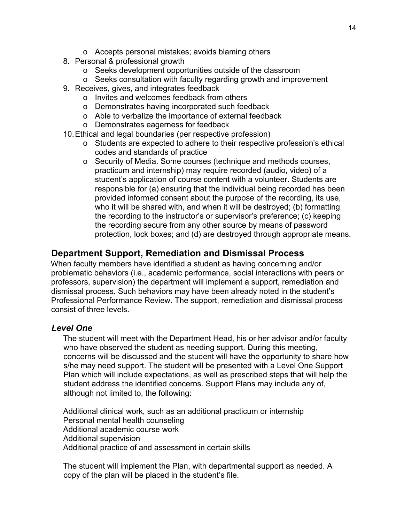- o Accepts personal mistakes; avoids blaming others
- 8. Personal & professional growth
	- o Seeks development opportunities outside of the classroom
	- o Seeks consultation with faculty regarding growth and improvement
- 9. Receives, gives, and integrates feedback
	- o Invites and welcomes feedback from others
	- o Demonstrates having incorporated such feedback
	- o Able to verbalize the importance of external feedback
	- o Demonstrates eagerness for feedback
- 10.Ethical and legal boundaries (per respective profession)
	- o Students are expected to adhere to their respective profession's ethical codes and standards of practice
	- o Security of Media. Some courses (technique and methods courses, practicum and internship) may require recorded (audio, video) of a student's application of course content with a volunteer. Students are responsible for (a) ensuring that the individual being recorded has been provided informed consent about the purpose of the recording, its use, who it will be shared with, and when it will be destroyed; (b) formatting the recording to the instructor's or supervisor's preference; (c) keeping the recording secure from any other source by means of password protection, lock boxes; and (d) are destroyed through appropriate means.

## **Department Support, Remediation and Dismissal Process**

When faculty members have identified a student as having concerning and/or problematic behaviors (i.e., academic performance, social interactions with peers or professors, supervision) the department will implement a support, remediation and dismissal process. Such behaviors may have been already noted in the student's Professional Performance Review. The support, remediation and dismissal process consist of three levels.

#### *Level One*

The student will meet with the Department Head, his or her advisor and/or faculty who have observed the student as needing support. During this meeting, concerns will be discussed and the student will have the opportunity to share how s/he may need support. The student will be presented with a Level One Support Plan which will include expectations, as well as prescribed steps that will help the student address the identified concerns. Support Plans may include any of, although not limited to, the following:

Additional clinical work, such as an additional practicum or internship Personal mental health counseling Additional academic course work Additional supervision Additional practice of and assessment in certain skills

The student will implement the Plan, with departmental support as needed. A copy of the plan will be placed in the student's file.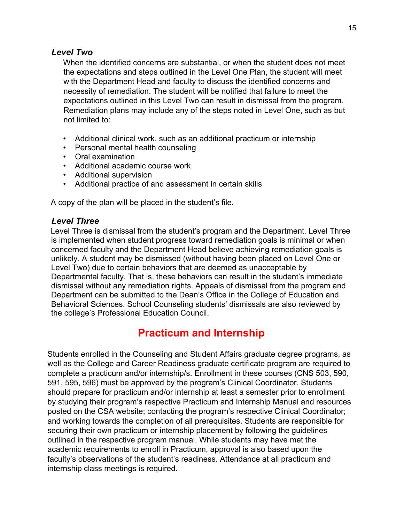#### *Level Two*

When the identified concerns are substantial, or when the student does not meet the expectations and steps outlined in the Level One Plan, the student will meet with the Department Head and faculty to discuss the identified concerns and necessity of remediation. The student will be notified that failure to meet the expectations outlined in this Level Two can result in dismissal from the program. Remediation plans may include any of the steps noted in Level One, such as but not limited to:

- Additional clinical work, such as an additional practicum or internship
- Personal mental health counseling
- Oral examination
- Additional academic course work
- Additional supervision
- Additional practice of and assessment in certain skills

A copy of the plan will be placed in the student's file.

#### *Level Three*

Level Three is dismissal from the student's program and the Department. Level Three is implemented when student progress toward remediation goals is minimal or when concerned faculty and the Department Head believe achieving remediation goals is unlikely. A student may be dismissed (without having been placed on Level One or Level Two) due to certain behaviors that are deemed as unacceptable by Departmental faculty. That is, these behaviors can result in the student's immediate dismissal without any remediation rights. Appeals of dismissal from the program and Department can be submitted to the Dean's Office in the College of Education and Behavioral Sciences. School Counseling students' dismissals are also reviewed by the college's Professional Education Council.

## **Practicum and Internship**

Students enrolled in the Counseling and Student Affairs graduate degree programs, as well as the College and Career Readiness graduate certificate program are required to complete a practicum and/or internship/s. Enrollment in these courses (CNS 503, 590, 591, 595, 596) must be approved by the program's Clinical Coordinator. Students should prepare for practicum and/or internship at least a semester prior to enrollment by studying their program's respective Practicum and Internship Manual and resources posted on the CSA website; contacting the program's respective Clinical Coordinator; and working towards the completion of all prerequisites. Students are responsible for securing their own practicum or internship placement by following the guidelines outlined in the respective program manual. While students may have met the academic requirements to enroll in Practicum, approval is also based upon the faculty's observations of the student's readiness. Attendance at all practicum and internship class meetings is required**.**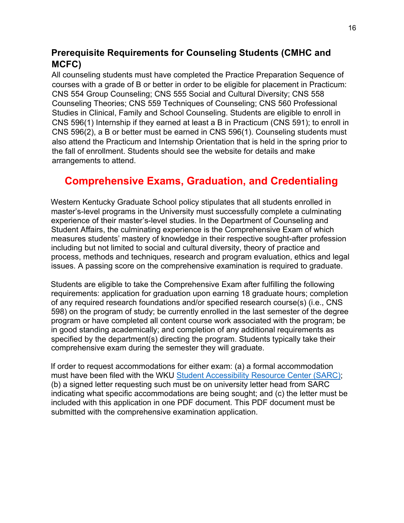## **Prerequisite Requirements for Counseling Students (CMHC and MCFC)**

All counseling students must have completed the Practice Preparation Sequence of courses with a grade of B or better in order to be eligible for placement in Practicum: CNS 554 Group Counseling; CNS 555 Social and Cultural Diversity; CNS 558 Counseling Theories; CNS 559 Techniques of Counseling; CNS 560 Professional Studies in Clinical, Family and School Counseling. Students are eligible to enroll in CNS 596(1) Internship if they earned at least a B in Practicum (CNS 591); to enroll in CNS 596(2), a B or better must be earned in CNS 596(1). Counseling students must also attend the Practicum and Internship Orientation that is held in the spring prior to the fall of enrollment. Students should see the website for details and make arrangements to attend.

## **Comprehensive Exams, Graduation, and Credentialing**

Western Kentucky Graduate School policy stipulates that all students enrolled in master's-level programs in the University must successfully complete a culminating experience of their master's-level studies. In the Department of Counseling and Student Affairs, the culminating experience is the Comprehensive Exam of which measures students' mastery of knowledge in their respective sought-after profession including but not limited to social and cultural diversity, theory of practice and process, methods and techniques, research and program evaluation, ethics and legal issues. A passing score on the comprehensive examination is required to graduate.

Students are eligible to take the Comprehensive Exam after fulfilling the following requirements: application for graduation upon earning 18 graduate hours; completion of any required research foundations and/or specified research course(s) (i.e., CNS 598) on the program of study; be currently enrolled in the last semester of the degree program or have completed all content course work associated with the program; be in good standing academically; and completion of any additional requirements as specified by the department(s) directing the program. Students typically take their comprehensive exam during the semester they will graduate.

If order to request accommodations for either exam: (a) a formal accommodation must have been filed with the WKU Student Accessibility Resource Center (SARC); (b) a signed letter requesting such must be on university letter head from SARC indicating what specific accommodations are being sought; and (c) the letter must be included with this application in one PDF document. This PDF document must be submitted with the comprehensive examination application.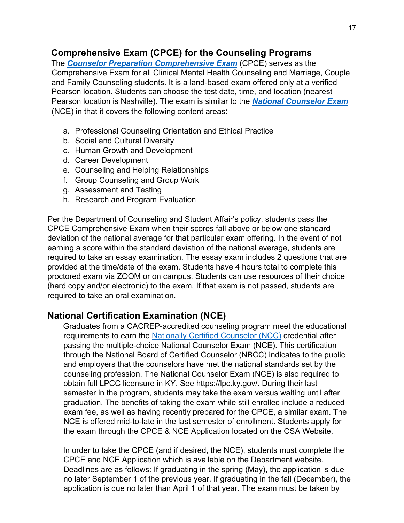## **Comprehensive Exam (CPCE) for the Counseling Programs**

The *Counselor Preparation Comprehensive Exam* (CPCE) serves as the Comprehensive Exam for all Clinical Mental Health Counseling and Marriage, Couple and Family Counseling students. It is a land-based exam offered only at a verified Pearson location. Students can choose the test date, time, and location (nearest Pearson location is Nashville). The exam is similar to the *National Counselor Exam* (NCE) in that it covers the following content areas**:**

- a. Professional Counseling Orientation and Ethical Practice
- b. Social and Cultural Diversity
- c. Human Growth and Development
- d. Career Development
- e. Counseling and Helping Relationships
- f. Group Counseling and Group Work
- g. Assessment and Testing
- h. Research and Program Evaluation

Per the Department of Counseling and Student Affair's policy, students pass the CPCE Comprehensive Exam when their scores fall above or below one standard deviation of the national average for that particular exam offering. In the event of not earning a score within the standard deviation of the national average, students are required to take an essay examination. The essay exam includes 2 questions that are provided at the time/date of the exam. Students have 4 hours total to complete this proctored exam via ZOOM or on campus. Students can use resources of their choice (hard copy and/or electronic) to the exam. If that exam is not passed, students are required to take an oral examination.

## **National Certification Examination (NCE)**

Graduates from a CACREP-accredited counseling program meet the educational requirements to earn the Nationally Certified Counselor (NCC) credential after passing the multiple-choice National Counselor Exam (NCE). This certification through the National Board of Certified Counselor (NBCC) indicates to the public and employers that the counselors have met the national standards set by the counseling profession. The National Counselor Exam (NCE) is also required to obtain full LPCC licensure in KY. See https://lpc.ky.gov/. During their last semester in the program, students may take the exam versus waiting until after graduation. The benefits of taking the exam while still enrolled include a reduced exam fee, as well as having recently prepared for the CPCE, a similar exam. The NCE is offered mid-to-late in the last semester of enrollment. Students apply for the exam through the CPCE & NCE Application located on the CSA Website.

In order to take the CPCE (and if desired, the NCE), students must complete the CPCE and NCE Application which is available on the Department website. Deadlines are as follows: If graduating in the spring (May), the application is due no later September 1 of the previous year. If graduating in the fall (December), the application is due no later than April 1 of that year. The exam must be taken by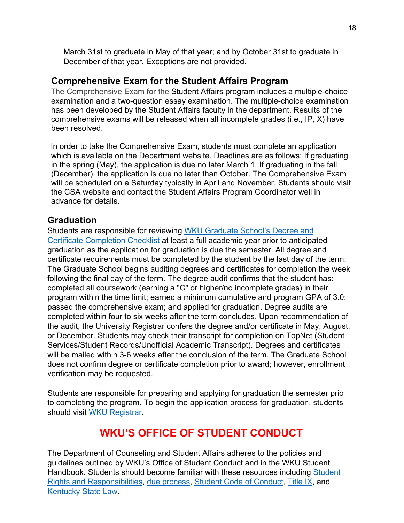March 31st to graduate in May of that year; and by October 31st to graduate in December of that year. Exceptions are not provided.

## **Comprehensive Exam for the Student Affairs Program**

The Comprehensive Exam for the Student Affairs program includes a multiple-choice examination and a two-question essay examination. The multiple-choice examination has been developed by the Student Affairs faculty in the department. Results of the comprehensive exams will be released when all incomplete grades (i.e., IP, X) have been resolved.

In order to take the Comprehensive Exam, students must complete an application which is available on the Department website. Deadlines are as follows: If graduating in the spring (May), the application is due no later March 1. If graduating in the fall (December), the application is due no later than October. The Comprehensive Exam will be scheduled on a Saturday typically in April and November. Students should visit the CSA website and contact the Student Affairs Program Coordinator well in advance for details.

## **Graduation**

Students are responsible for reviewing WKU Graduate School's Degree and Certificate Completion Checklist at least a full academic year prior to anticipated graduation as the application for graduation is due the semester. All degree and certificate requirements must be completed by the student by the last day of the term. The Graduate School begins auditing degrees and certificates for completion the week following the final day of the term. The degree audit confirms that the student has: completed all coursework (earning a "C" or higher/no incomplete grades) in their program within the time limit; earned a minimum cumulative and program GPA of 3.0; passed the comprehensive exam; and applied for graduation. Degree audits are completed within four to six weeks after the term concludes. Upon recommendation of the audit, the University Registrar confers the degree and/or certificate in May, August, or December. Students may check their transcript for completion on TopNet (Student Services/Student Records/Unofficial Academic Transcript). Degrees and certificates will be mailed within 3-6 weeks after the conclusion of the term. The Graduate School does not confirm degree or certificate completion prior to award; however, enrollment verification may be requested.

Students are responsible for preparing and applying for graduation the semester prio to completing the program. To begin the application process for graduation, students should visit WKU Registrar.

## **WKU'S OFFICE OF STUDENT CONDUCT**

The Department of Counseling and Student Affairs adheres to the policies and guidelines outlined by WKU's Office of Student Conduct and in the WKU Student Handbook. Students should become familiar with these resources including Student Rights and Responsibilities, due process, Student Code of Conduct, Title IX, and Kentucky State Law.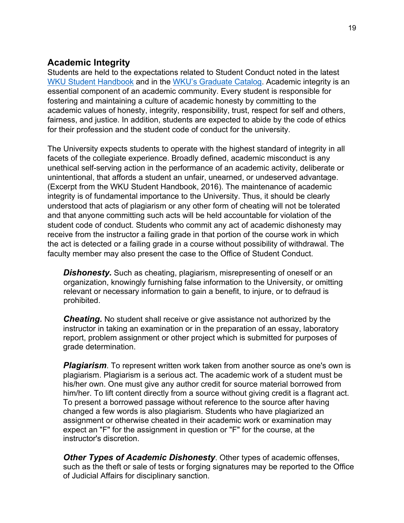## **Academic Integrity**

Students are held to the expectations related to Student Conduct noted in the latest WKU Student Handbook and in the WKU's Graduate Catalog. Academic integrity is an essential component of an academic community. Every student is responsible for fostering and maintaining a culture of academic honesty by committing to the academic values of honesty, integrity, responsibility, trust, respect for self and others, fairness, and justice. In addition, students are expected to abide by the code of ethics for their profession and the student code of conduct for the university.

The University expects students to operate with the highest standard of integrity in all facets of the collegiate experience. Broadly defined, academic misconduct is any unethical self-serving action in the performance of an academic activity, deliberate or unintentional, that affords a student an unfair, unearned, or undeserved advantage. (Excerpt from the WKU Student Handbook, 2016). The maintenance of academic integrity is of fundamental importance to the University. Thus, it should be clearly understood that acts of plagiarism or any other form of cheating will not be tolerated and that anyone committing such acts will be held accountable for violation of the student code of conduct. Students who commit any act of academic dishonesty may receive from the instructor a failing grade in that portion of the course work in which the act is detected or a failing grade in a course without possibility of withdrawal. The faculty member may also present the case to the Office of Student Conduct.

**Dishonesty.** Such as cheating, plagiarism, misrepresenting of oneself or an organization, knowingly furnishing false information to the University, or omitting relevant or necessary information to gain a benefit, to injure, or to defraud is prohibited.

*Cheating.* No student shall receive or give assistance not authorized by the instructor in taking an examination or in the preparation of an essay, laboratory report, problem assignment or other project which is submitted for purposes of grade determination.

*Plagiarism*. To represent written work taken from another source as one's own is plagiarism. Plagiarism is a serious act. The academic work of a student must be his/her own. One must give any author credit for source material borrowed from him/her. To lift content directly from a source without giving credit is a flagrant act. To present a borrowed passage without reference to the source after having changed a few words is also plagiarism. Students who have plagiarized an assignment or otherwise cheated in their academic work or examination may expect an "F" for the assignment in question or "F" for the course, at the instructor's discretion.

*Other Types of Academic Dishonesty*. Other types of academic offenses, such as the theft or sale of tests or forging signatures may be reported to the Office of Judicial Affairs for disciplinary sanction.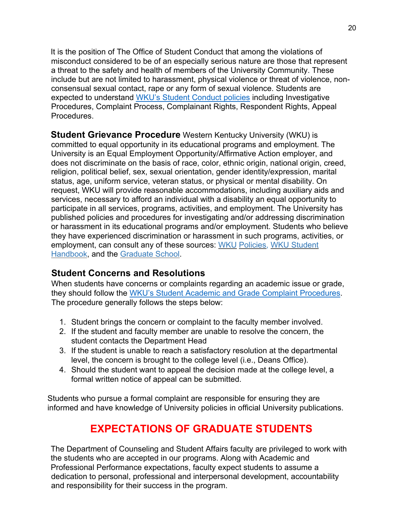It is the position of The Office of Student Conduct that among the violations of misconduct considered to be of an especially serious nature are those that represent a threat to the safety and health of members of the University Community. These include but are not limited to harassment, physical violence or threat of violence, nonconsensual sexual contact, rape or any form of sexual violence. Students are expected to understand WKU's Student Conduct policies including Investigative Procedures, Complaint Process, Complainant Rights, Respondent Rights, Appeal Procedures.

**Student Grievance Procedure** Western Kentucky University (WKU) is committed to equal opportunity in its educational programs and employment. The University is an Equal Employment Opportunity/Affirmative Action employer, and does not discriminate on the basis of race, color, ethnic origin, national origin, creed, religion, political belief, sex, sexual orientation, gender identity/expression, marital status, age, uniform service, veteran status, or physical or mental disability. On request, WKU will provide reasonable accommodations, including auxiliary aids and services, necessary to afford an individual with a disability an equal opportunity to participate in all services, programs, activities, and employment. The University has published policies and procedures for investigating and/or addressing discrimination or harassment in its educational programs and/or employment. Students who believe they have experienced discrimination or harassment in such programs, activities, or employment, can consult any of these sources: WKU Policies, WKU Student Handbook, and the Graduate School.

## **Student Concerns and Resolutions**

When students have concerns or complaints regarding an academic issue or grade, they should follow the WKU's Student Academic and Grade Complaint Procedures. The procedure generally follows the steps below:

- 1. Student brings the concern or complaint to the faculty member involved.
- 2. If the student and faculty member are unable to resolve the concern, the student contacts the Department Head
- 3. If the student is unable to reach a satisfactory resolution at the departmental level, the concern is brought to the college level (i.e., Deans Office).
- 4. Should the student want to appeal the decision made at the college level, a formal written notice of appeal can be submitted.

Students who pursue a formal complaint are responsible for ensuring they are informed and have knowledge of University policies in official University publications.

# **EXPECTATIONS OF GRADUATE STUDENTS**

The Department of Counseling and Student Affairs faculty are privileged to work with the students who are accepted in our programs. Along with Academic and Professional Performance expectations, faculty expect students to assume a dedication to personal, professional and interpersonal development, accountability and responsibility for their success in the program.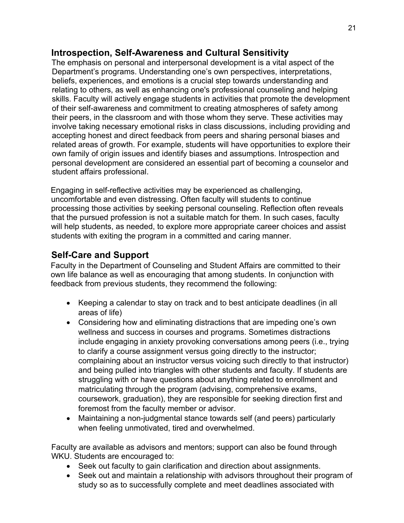## **Introspection, Self-Awareness and Cultural Sensitivity**

The emphasis on personal and interpersonal development is a vital aspect of the Department's programs. Understanding one's own perspectives, interpretations, beliefs, experiences, and emotions is a crucial step towards understanding and relating to others, as well as enhancing one's professional counseling and helping skills. Faculty will actively engage students in activities that promote the development of their self-awareness and commitment to creating atmospheres of safety among their peers, in the classroom and with those whom they serve. These activities may involve taking necessary emotional risks in class discussions, including providing and accepting honest and direct feedback from peers and sharing personal biases and related areas of growth. For example, students will have opportunities to explore their own family of origin issues and identify biases and assumptions. Introspection and personal development are considered an essential part of becoming a counselor and student affairs professional.

Engaging in self-reflective activities may be experienced as challenging, uncomfortable and even distressing. Often faculty will students to continue processing those activities by seeking personal counseling. Reflection often reveals that the pursued profession is not a suitable match for them. In such cases, faculty will help students, as needed, to explore more appropriate career choices and assist students with exiting the program in a committed and caring manner.

## **Self-Care and Support**

Faculty in the Department of Counseling and Student Affairs are committed to their own life balance as well as encouraging that among students. In conjunction with feedback from previous students, they recommend the following:

- Keeping a calendar to stay on track and to best anticipate deadlines (in all areas of life)
- Considering how and eliminating distractions that are impeding one's own wellness and success in courses and programs. Sometimes distractions include engaging in anxiety provoking conversations among peers (i.e., trying to clarify a course assignment versus going directly to the instructor; complaining about an instructor versus voicing such directly to that instructor) and being pulled into triangles with other students and faculty. If students are struggling with or have questions about anything related to enrollment and matriculating through the program (advising, comprehensive exams, coursework, graduation), they are responsible for seeking direction first and foremost from the faculty member or advisor.
- Maintaining a non-judgmental stance towards self (and peers) particularly when feeling unmotivated, tired and overwhelmed.

Faculty are available as advisors and mentors; support can also be found through WKU. Students are encouraged to:

- Seek out faculty to gain clarification and direction about assignments.
- Seek out and maintain a relationship with advisors throughout their program of study so as to successfully complete and meet deadlines associated with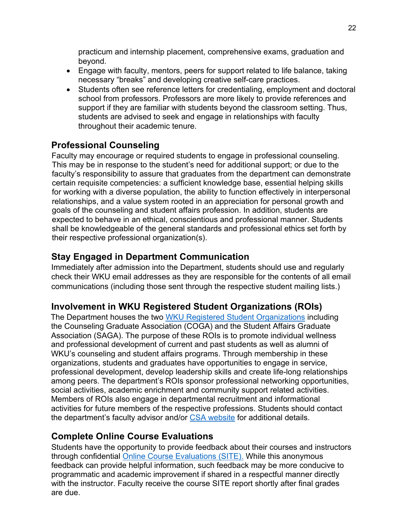practicum and internship placement, comprehensive exams, graduation and beyond.

- Engage with faculty, mentors, peers for support related to life balance, taking necessary "breaks" and developing creative self-care practices.
- Students often see reference letters for credentialing, employment and doctoral school from professors. Professors are more likely to provide references and support if they are familiar with students beyond the classroom setting. Thus, students are advised to seek and engage in relationships with faculty throughout their academic tenure.

## **Professional Counseling**

Faculty may encourage or required students to engage in professional counseling. This may be in response to the student's need for additional support; or due to the faculty's responsibility to assure that graduates from the department can demonstrate certain requisite competencies: a sufficient knowledge base, essential helping skills for working with a diverse population, the ability to function effectively in interpersonal relationships, and a value system rooted in an appreciation for personal growth and goals of the counseling and student affairs profession. In addition, students are expected to behave in an ethical, conscientious and professional manner. Students shall be knowledgeable of the general standards and professional ethics set forth by their respective professional organization(s).

## **Stay Engaged in Department Communication**

Immediately after admission into the Department, students should use and regularly check their WKU email addresses as they are responsible for the contents of all email communications (including those sent through the respective student mailing lists.)

## **Involvement in WKU Registered Student Organizations (ROIs)**

The Department houses the two WKU Registered Student Organizations including the Counseling Graduate Association (COGA) and the Student Affairs Graduate Association (SAGA). The purpose of these ROIs is to promote individual wellness and professional development of current and past students as well as alumni of WKU's counseling and student affairs programs. Through membership in these organizations, students and graduates have opportunities to engage in service, professional development, develop leadership skills and create life-long relationships among peers. The department's ROIs sponsor professional networking opportunities, social activities, academic enrichment and community support related activities. Members of ROIs also engage in departmental recruitment and informational activities for future members of the respective professions. Students should contact the department's faculty advisor and/or CSA website for additional details.

## **Complete Online Course Evaluations**

Students have the opportunity to provide feedback about their courses and instructors through confidential Online Course Evaluations (SITE). While this anonymous feedback can provide helpful information, such feedback may be more conducive to programmatic and academic improvement if shared in a respectful manner directly with the instructor. Faculty receive the course SITE report shortly after final grades are due.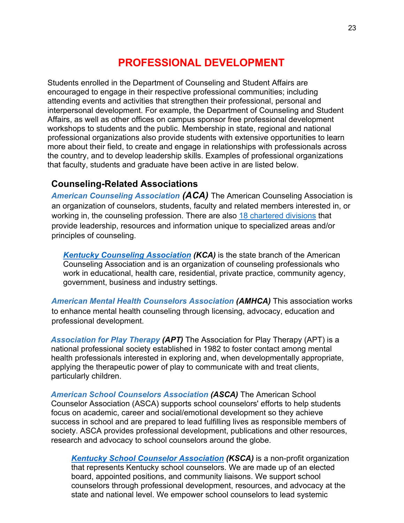## **PROFESSIONAL DEVELOPMENT**

Students enrolled in the Department of Counseling and Student Affairs are encouraged to engage in their respective professional communities; including attending events and activities that strengthen their professional, personal and interpersonal development. For example, the Department of Counseling and Student Affairs, as well as other offices on campus sponsor free professional development workshops to students and the public. Membership in state, regional and national professional organizations also provide students with extensive opportunities to learn more about their field, to create and engage in relationships with professionals across the country, and to develop leadership skills. Examples of professional organizations that faculty, students and graduate have been active in are listed below.

#### **Counseling-Related Associations**

*American Counseling Association (ACA)* The American Counseling Association is an organization of counselors, students, faculty and related members interested in, or working in, the counseling profession. There are also 18 chartered divisions that provide leadership, resources and information unique to specialized areas and/or principles of counseling.

*Kentucky Counseling Association (KCA)* is the state branch of the American Counseling Association and is an organization of counseling professionals who work in educational, health care, residential, private practice, community agency, government, business and industry settings.

*American Mental Health Counselors Association (AMHCA)* This association works to enhance mental health counseling through licensing, advocacy, education and professional development.

*Association for Play Therapy (APT)* The Association for Play Therapy (APT) is a national professional society established in 1982 to foster contact among mental health professionals interested in exploring and, when developmentally appropriate, applying the therapeutic power of play to communicate with and treat clients, particularly children.

*American School Counselors Association (ASCA)* The American School Counselor Association (ASCA) supports school counselors' efforts to help students focus on academic, career and social/emotional development so they achieve success in school and are prepared to lead fulfilling lives as responsible members of society. ASCA provides professional development, publications and other resources, research and advocacy to school counselors around the globe.

*Kentucky School Counselor Association (KSCA)* is a non-profit organization that represents Kentucky school counselors. We are made up of an elected board, appointed positions, and community liaisons. We support school counselors through professional development, resources, and advocacy at the state and national level. We empower school counselors to lead systemic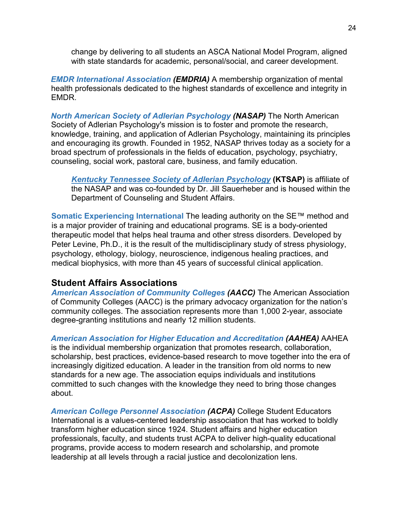change by delivering to all students an ASCA National Model Program, aligned with state standards for academic, personal/social, and career development.

*EMDR International Association (EMDRIA)* A membership organization of mental health professionals dedicated to the highest standards of excellence and integrity in EMDR.

*North American Society of Adlerian Psychology (NASAP)* The North American Society of Adlerian Psychology's mission is to foster and promote the research, knowledge, training, and application of Adlerian Psychology, maintaining its principles and encouraging its growth. Founded in 1952, NASAP thrives today as a society for a broad spectrum of professionals in the fields of education, psychology, psychiatry, counseling, social work, pastoral care, business, and family education.

*Kentucky Tennessee Society of Adlerian Psychology* **(KTSAP)** is affiliate of the NASAP and was co-founded by Dr. Jill Sauerheber and is housed within the Department of Counseling and Student Affairs.

**Somatic Experiencing International** The leading authority on the SE™ method and is a major provider of training and educational programs. SE is a body-oriented therapeutic model that helps heal trauma and other stress disorders. Developed by Peter Levine, Ph.D., it is the result of the multidisciplinary study of stress physiology, psychology, ethology, biology, neuroscience, indigenous healing practices, and medical biophysics, with more than 45 years of successful clinical application.

#### **Student Affairs Associations**

*American Association of Community Colleges (AACC)* The American Association of Community Colleges (AACC) is the primary advocacy organization for the nation's community colleges. The association represents more than 1,000 2-year, associate degree-granting institutions and nearly 12 million students.

*American Association for Higher Education and Accreditation (AAHEA)* AAHEA is the individual membership organization that promotes research, collaboration, scholarship, best practices, evidence-based research to move together into the era of increasingly digitized education. A leader in the transition from old norms to new standards for a new age. The association equips individuals and institutions committed to such changes with the knowledge they need to bring those changes about.

*American College Personnel Association (ACPA)* College Student Educators International is a values-centered leadership association that has worked to boldly transform higher education since 1924. Student affairs and higher education professionals, faculty, and students trust ACPA to deliver high-quality educational programs, provide access to modern research and scholarship, and promote leadership at all levels through a racial justice and decolonization lens.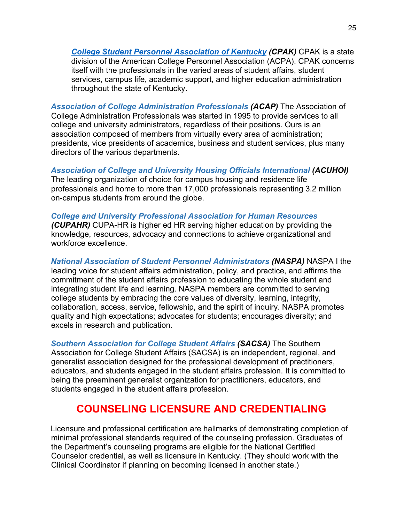*College Student Personnel Association of Kentucky (CPAK)* CPAK is a state division of the American College Personnel Association (ACPA). CPAK concerns itself with the professionals in the varied areas of student affairs, student services, campus life, academic support, and higher education administration throughout the state of Kentucky.

*Association of College Administration Professionals (ACAP)* The Association of College Administration Professionals was started in 1995 to provide services to all college and university administrators, regardless of their positions. Ours is an association composed of members from virtually every area of administration; presidents, vice presidents of academics, business and student services, plus many directors of the various departments.

*Association of College and University Housing Officials International (ACUHOI)* The leading organization of choice for campus housing and residence life professionals and home to more than 17,000 professionals representing 3.2 million on-campus students from around the globe.

*College and University Professional Association for Human Resources (CUPAHR)* CUPA-HR is higher ed HR serving higher education by providing the knowledge, resources, advocacy and connections to achieve organizational and workforce excellence.

*National Association of Student Personnel Administrators (NASPA)* NASPA I the leading voice for student affairs administration, policy, and practice, and affirms the commitment of the student affairs profession to educating the whole student and integrating student life and learning. NASPA members are committed to serving college students by embracing the core values of diversity, learning, integrity, collaboration, access, service, fellowship, and the spirit of inquiry. NASPA promotes quality and high expectations; advocates for students; encourages diversity; and excels in research and publication.

*Southern Association for College Student Affairs (SACSA)* The Southern Association for College Student Affairs (SACSA) is an independent, regional, and generalist association designed for the professional development of practitioners, educators, and students engaged in the student affairs profession. It is committed to being the preeminent generalist organization for practitioners, educators, and students engaged in the student affairs profession.

## **COUNSELING LICENSURE AND CREDENTIALING**

Licensure and professional certification are hallmarks of demonstrating completion of minimal professional standards required of the counseling profession. Graduates of the Department's counseling programs are eligible for the National Certified Counselor credential, as well as licensure in Kentucky. (They should work with the Clinical Coordinator if planning on becoming licensed in another state.)